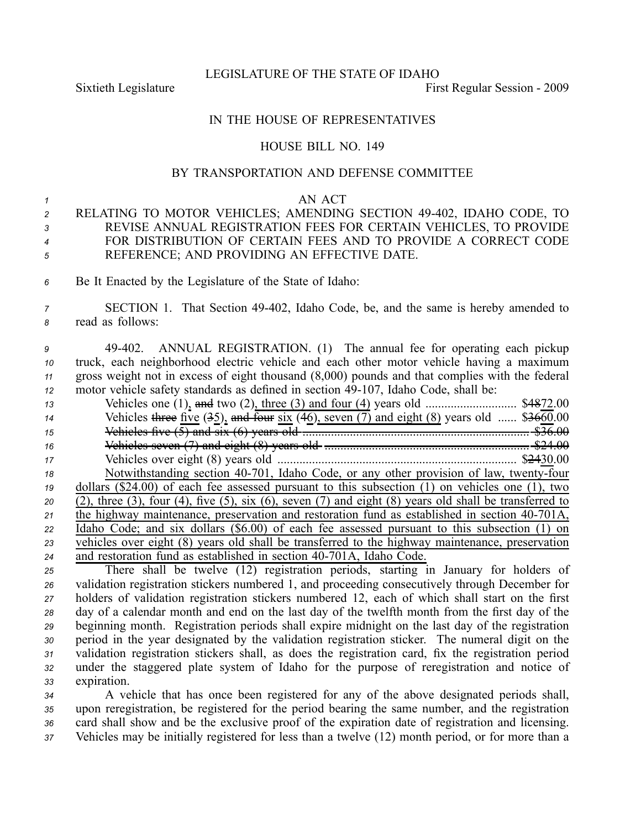LEGISLATURE OF THE STATE OF IDAHO

Sixtieth Legislature **First** Regular Session - 2009

## IN THE HOUSE OF REPRESENTATIVES

## HOUSE BILL NO. 149

## BY TRANSPORTATION AND DEFENSE COMMITTEE

## *1* AN ACT

- 2 RELATING TO MOTOR VEHICLES; AMENDING SECTION 49-402, IDAHO CODE, TO *<sup>3</sup>* REVISE ANNUAL REGISTRATION FEES FOR CERTAIN VEHICLES, TO PROVIDE *<sup>4</sup>* FOR DISTRIBUTION OF CERTAIN FEES AND TO PROVIDE A CORRECT CODE *<sup>5</sup>* REFERENCE; AND PROVIDING AN EFFECTIVE DATE.
- *<sup>6</sup>* Be It Enacted by the Legislature of the State of Idaho:
- *<sup>7</sup>* SECTION 1. That Section 49402, Idaho Code, be, and the same is hereby amended to *<sup>8</sup>* read as follows:
- *<sup>9</sup>* 49402. ANNUAL REGISTRATION. (1) The annual fee for operating each pickup *<sup>10</sup>* truck, each neighborhood electric vehicle and each other motor vehicle having <sup>a</sup> maximum *<sup>11</sup>* gross weight not in excess of eight thousand (8,000) pounds and that complies with the federal *12* motor vehicle safety standards as defined in section 49-107, Idaho Code, shall be:

| Vehicles three five $(35)$ , and four six $(46)$ , seven $(7)$ and eight $(8)$ years old  \$3660.00<br>14<br>15<br>16<br>17<br>Notwithstanding section 40-701, Idaho Code, or any other provision of law, twenty-four<br>18<br>dollars $(\$24.00)$ of each fee assessed pursuant to this subsection $(1)$ on vehicles one $(1)$ , two<br>19<br>$(2)$ , three $(3)$ , four $(4)$ , five $(5)$ , six $(6)$ , seven $(7)$ and eight $(8)$ years old shall be transferred to<br>20<br>the highway maintenance, preservation and restoration fund as established in section 40-701A,<br>21 |
|---------------------------------------------------------------------------------------------------------------------------------------------------------------------------------------------------------------------------------------------------------------------------------------------------------------------------------------------------------------------------------------------------------------------------------------------------------------------------------------------------------------------------------------------------------------------------------------|
|                                                                                                                                                                                                                                                                                                                                                                                                                                                                                                                                                                                       |
|                                                                                                                                                                                                                                                                                                                                                                                                                                                                                                                                                                                       |
|                                                                                                                                                                                                                                                                                                                                                                                                                                                                                                                                                                                       |
|                                                                                                                                                                                                                                                                                                                                                                                                                                                                                                                                                                                       |
|                                                                                                                                                                                                                                                                                                                                                                                                                                                                                                                                                                                       |
|                                                                                                                                                                                                                                                                                                                                                                                                                                                                                                                                                                                       |
|                                                                                                                                                                                                                                                                                                                                                                                                                                                                                                                                                                                       |
|                                                                                                                                                                                                                                                                                                                                                                                                                                                                                                                                                                                       |
| Idaho Code; and six dollars (\$6.00) of each fee assessed pursuant to this subsection (1) on<br>22                                                                                                                                                                                                                                                                                                                                                                                                                                                                                    |
| vehicles over eight (8) years old shall be transferred to the highway maintenance, preservation<br>23                                                                                                                                                                                                                                                                                                                                                                                                                                                                                 |
| and restoration fund as established in section 40-701A, Idaho Code.<br>24<br>$\mathbf{A}$ and $\mathbf{A}$ are the set of $\mathbf{A}$ and $\mathbf{A}$ and $\mathbf{A}$ are the set of $\mathbf{A}$<br>$\sim$ $\sim$ $\sim$ $\sim$                                                                                                                                                                                                                                                                                                                                                   |

 There shall be twelve (12) registration periods, starting in January for holders of validation registration stickers numbered 1, and proceeding consecutively through December for holders of validation registration stickers numbered 12, each of which shall start on the first day of <sup>a</sup> calendar month and end on the last day of the twelfth month from the first day of the beginning month. Registration periods shall expire midnight on the last day of the registration period in the year designated by the validation registration sticker. The numeral digit on the validation registration stickers shall, as does the registration card, fix the registration period under the staggered plate system of Idaho for the purpose of reregistration and notice of expiration.

 A vehicle that has once been registered for any of the above designated periods shall, upon reregistration, be registered for the period bearing the same number, and the registration card shall show and be the exclusive proof of the expiration date of registration and licensing. Vehicles may be initially registered for less than <sup>a</sup> twelve (12) month period, or for more than <sup>a</sup>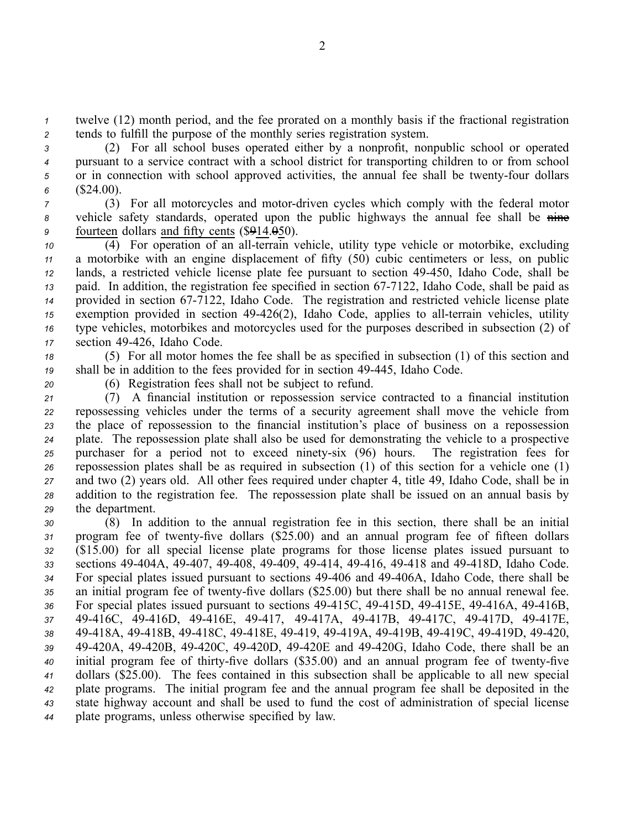*<sup>1</sup>* twelve (12) month period, and the fee prorated on <sup>a</sup> monthly basis if the fractional registration *<sup>2</sup>* tends to fulfill the purpose of the monthly series registration system.

 (2) For all school buses operated either by <sup>a</sup> nonprofit, nonpublic school or operated pursuan<sup>t</sup> to <sup>a</sup> service contract with <sup>a</sup> school district for transporting children to or from school 5 or in connection with school approved activities, the annual fee shall be twenty-four dollars (\$24.00).

*<sup>7</sup>* (3) For all motorcycles and motordriven cycles which comply with the federal motor 8 vehicle safety standards, operated upon the public highways the annual fee shall be nine *<sup>9</sup>* fourteen dollars and fifty cents (\$914.050).

 $\overline{10}$  (4) For operation of an all-terrain vehicle, utility type vehicle or motorbike, excluding <sup>a</sup> motorbike with an engine displacement of fifty (50) cubic centimeters or less, on public lands, <sup>a</sup> restricted vehicle license plate fee pursuan<sup>t</sup> to section 49450, Idaho Code, shall be paid. In addition, the registration fee specified in section 677122, Idaho Code, shall be paid as provided in section 677122, Idaho Code. The registration and restricted vehicle license plate <sup>15</sup> exemption provided in section 49-426(2), Idaho Code, applies to all-terrain vehicles, utility type vehicles, motorbikes and motorcycles used for the purposes described in subsection (2) of section 49426, Idaho Code.

*<sup>18</sup>* (5) For all motor homes the fee shall be as specified in subsection (1) of this section and *<sup>19</sup>* shall be in addition to the fees provided for in section 49445, Idaho Code.

*<sup>20</sup>* (6) Registration fees shall not be subject to refund.

 (7) A financial institution or repossession service contracted to <sup>a</sup> financial institution repossessing vehicles under the terms of <sup>a</sup> security agreemen<sup>t</sup> shall move the vehicle from the place of repossession to the financial institution's place of business on <sup>a</sup> repossession plate. The repossession plate shall also be used for demonstrating the vehicle to <sup>a</sup> prospective 25 purchaser for a period not to exceed ninety-six (96) hours. The registration fees for repossession plates shall be as required in subsection (1) of this section for <sup>a</sup> vehicle one (1) and two (2) years old. All other fees required under chapter 4, title 49, Idaho Code, shall be in addition to the registration fee. The repossession plate shall be issued on an annual basis by the department.

 (8) In addition to the annual registration fee in this section, there shall be an initial 31 program fee of twenty-five dollars (\$25.00) and an annual program fee of fifteen dollars (\$15.00) for all special license plate programs for those license plates issued pursuan<sup>t</sup> to sections 49404A, 49407, 49408, 49409, 49414, 49416, 49418 and 49418D, Idaho Code. For special plates issued pursuan<sup>t</sup> to sections 49406 and 49406A, Idaho Code, there shall be 35 an initial program fee of twenty-five dollars (\$25.00) but there shall be no annual renewal fee. 36 For special plates issued pursuant to sections 49-415C, 49-415D, 49-415E, 49-416A, 49-416B, 49416C, 49416D, 49416E, 49417, 49417A, 49417B, 49417C, 49417D, 49417E, 49418A, 49418B, 49418C, 49418E, 49419, 49419A, 49419B, 49419C, 49419D, 49420, 49420A, 49420B, 49420C, 49420D, 49420E and 49420G, Idaho Code, there shall be an 40 initial program fee of thirty-five dollars (\$35.00) and an annual program fee of twenty-five dollars (\$25.00). The fees contained in this subsection shall be applicable to all new special plate programs. The initial program fee and the annual program fee shall be deposited in the state highway account and shall be used to fund the cost of administration of special license plate programs, unless otherwise specified by law.